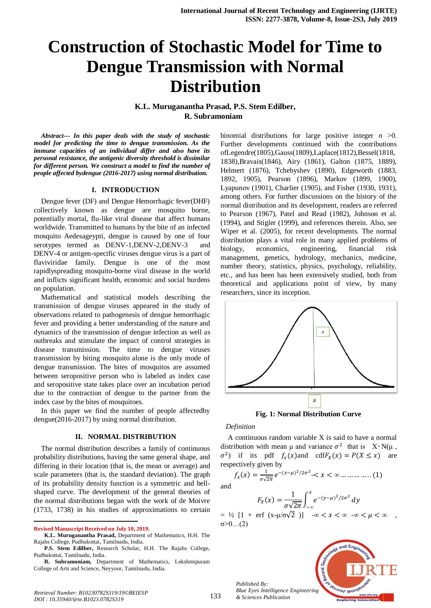# **Construction of Stochastic Model for Time to Dengue Transmission with Normal Distribution**

**K.L. Muruganantha Prasad, P.S. Stem Edilber, R. Subramoniam** 

*Abstract--- In this paper deals with the study of stochastic model for predicting the time to dengue transmission. As the immune capacities of an individual differ and also have its personal resistance, the antigenic diversity threshold is dissimilar for different person. We construct a model to find the number of people affected bydengue (2016-2017) using normal distribution.*

## **I. INTRODUCTION**

Dengue fever (DF) and Dengue Hemorrhagic fever(DHF) collectively known as dengue are mosquito borne, potentially mortal, flu-like viral disease that affect humans worldwide. Transmitted to humans by the bite of an infected mosquito Aedesageypti, dengue is caused by one of four serotypes termed as DENV-1,DENV-2,DENV-3 and DENV-4 or antigen-specific viruses dengue virus is a part of flaviviridae family. Dengue is one of the most rapidlyspreading mosquito-borne viral disease in the world and inflicts significant health, economic and social burdens on population.

Mathematical and statistical models describing the transmission of dengue viruses appeared in the study of observations related to pathogenesis of dengue hemorrhagic fever and providing a better understanding of the nature and dynamics of the transmission of dengue infection as well as outbreaks and stimulate the impact of control strategies in disease transmission. The time to dengue viruses transmission by biting mosquito alone is the only mode of dengue transmission. The bites of mosquitos are assumed between seropositive person who is labeled as index case and seropositive state takes place over an incubation period due to the contraction of dengue to the partner from the index case by the bites of mosquitoes.

In this paper we find the number of people affectedby dengue(2016-2017) by using normal distribution.

## **II. NORMAL DISTRIBUTION**

The normal distribution describes a family of continuous probability distributions, having the same general shape, and differing in their location (that is, the mean or average) and scale parameters (that is, the standard deviation). The graph of its probability density function is a symmetric and bellshaped curve. The development of the general theories of the normal distributions began with the work of de Moivre (1733, 1738) in his studies of approximations to certain

**Revised Manuscript Received on July 10, 2019.**

 $\overline{a}$ 

**P.S. Stem Edilber,** Research Scholar, H.H. The Rajahs College, Pudhukottai, Tamilnadu, India.

**R. Subramoniam,** Department of Mathematics, Lekshmipuram College of Arts and Science, Neyyoor, Tamilnadu, India.

binomial distributions for large positive integer *n* >0. Further developments continued with the contributions ofLegendre(1805),Gauss(1809),Laplace(1812),Bessel(1818, 1838),Bravais(1846), Airy (1861), Galton (1875, 1889), Helmert (1876), Tchebyshev (1890), Edgeworth (1883, 1892, 1905), Pearson (1896), Markov (1899, 1900), Lyapunov (1901), Charlier (1905), and Fisher (1930, 1931), among others. For further discussions on the history of the normal distribution and its development, readers are referred to Pearson (1967), Patel and Read (1982), Johnson et al. (1994), and Stigler (1999), and references therein. Also, see Wiper et al. (2005), for recent developments. The normal distribution plays a vital role in many applied problems of biology, economics, engineering, financial risk management, genetics, hydrology, mechanics, medicine, number theory, statistics, physics, psychology, reliability, etc., and has been has been extensively studied, both from theoretical and applications point of view, by many researchers, since its inception.



**Fig. 1: Normal Distribution Curve**

#### *Definition*

A continuous random variable X is said to have a normal distribution with mean  $\mu$  and variance  $\sigma^2$  that is  $X \sim N(\mu)$ ,  $\sigma^2$ ) if its pdf  $f_x(x)$  and cdf $F_x(x) = P(X \le x)$  are respectively given by

$$
f_x(x) = \frac{1}{\sigma \sqrt{2\pi}} e^{-(x-\mu)^2/2\sigma^2} < x < \infty \dots \dots \dots \dots \dots (1)
$$

and

$$
F_X(x) = \frac{1}{\sigma \sqrt{2\pi}} \int_{-\infty}^{x} e^{-(y-\mu)^2/2\sigma^2} dy
$$

 $=$  ½  $[1 + \text{erf } (x-\mu/\sigma\sqrt{2})]$   $-\infty < x < \infty$   $-\infty < \mu < \infty$ , σ>0…(2)

*Published By: Blue Eyes Intelligence Engineering & Sciences Publication* 



**K.L. Muruganantha Prasad,** Department of Mathematics, H.H. The Rajahs College, Pudhukottai, Tamilnadu, India.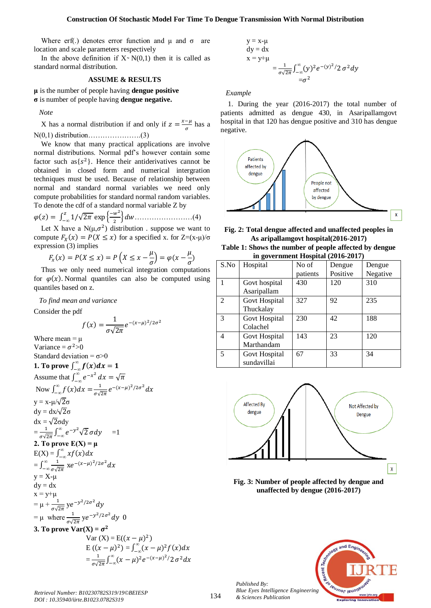### **Construction Of Stochastic Model For Time To Dengue Transmission With Normal Distribution**

Where erf(.) denotes error function and  $\mu$  and  $\sigma$  are location and scale parameters respectively

In the above definition if  $X \sim N(0,1)$  then it is called as standard normal distribution.

# **ASSUME & RESULTS**

**μ** is the number of people having **dengue positive σ** is number of people having **dengue negative.** 

*Note*

X has a normal distribution if and only if  $z = \frac{x}{x}$  $\frac{-\mu}{\sigma}$  has a N(0,1) di ri u ion………………….(3)

We know that many practical applications are involve normal distributions. Normal pdf's however contain some factor such as  $\{s^2\}$ . Hence their antiderivatives cannot be obtained in closed form and numerical intergration techniques must be used. Because of relationship between normal and standard normal variables we need only compute probabilities for standard normal random variables. To denote the cdf of a standard normal variable Z by

$$
\varphi(z) = \int_{-\infty}^{z} 1/\sqrt{2\pi} \exp\left\{\frac{-w^2}{2}\right\} dw \dots \dots \dots \dots \dots \dots \dots \dots (4)
$$

Let X have a N( $\mu$ , $\sigma^2$ ) distribution. suppose we want to compute  $F_X(x) = P(X \le x)$  for a specified x. for  $Z=(x-\mu)/\sigma$ expression (3) implies

$$
F_x(x) = P(X \le x) = P\left(X \le x - \frac{\mu}{\sigma}\right) = \varphi(x - \frac{\mu}{\sigma})
$$

Thus we only need numerical integration computations for  $\varphi(x)$ . Normal quantiles can also be computed using quantiles based on z.

*To find mean and variance*

Consider the pdf

$$
f(x) = \frac{1}{\sigma\sqrt{2\pi}}e^{-(x-\mu)^2/2\sigma^2}
$$

Where mean  $=$   $\mu$ Variance =  $\sigma^2$ >0 Standard deviation =  $\sigma > 0$ **1. To prove**  $\int_{-\infty}^{\infty}$ -Assume that  $\int_{-\infty}^{\infty} e^{-x} dx$  $\int_{-\infty}^{\infty} e^{-x^2} dx$ Now  $\int_{-\infty}^{\infty}$ <sup>-</sup>  $\mathbf{1}$  $\frac{1}{\sigma\sqrt{2\pi}}e^{-(x-\mu)^2/2\sigma^2}d$  $y = x - \mu/\sqrt{2}\sigma$  $dy = dx/\sqrt{2}\sigma$  $dx = \sqrt{2} \sigma dy$  $=\frac{1}{\sqrt{2}}$  $\frac{1}{\sigma\sqrt{2\pi}}\int_{-\infty}^{\infty}e^{-y^2}\sqrt{2\pi}$  $\int_{-\infty}^{\infty} e^{-y^2} \sqrt{2 \sigma} dy =1$ **2. To prove**  $E(X) = \mu$  $E(X) = \int_{-\infty}^{\infty} x f(x) dx$  $\overline{\phantom{0}}$  $=\int_{-\infty}^{\infty}\frac{1}{t}$  $\int_{-\infty}^{\infty} \frac{1}{\sigma \sqrt{2\pi}} \times e^{-(x-\mu)^2/2\sigma^2} d\sigma$  $y = X - \mu$  $dy = dx$  $x = y + \mu$  $= \mu + \frac{1}{\sigma \sqrt{2\pi}} y e^{-y^2/2\sigma^2} d$ =  $\mu$  where  $\frac{1}{\sigma\sqrt{2\pi}}$  ye<sup>-y<sup>2</sup>/2 $\sigma^2$ </sup>d **3. To prove**  $\text{Var}(X) = \sigma^2$ Var  $(X) = E((x - \mu)^2)$  $E ((x - \mu)^2) = \int_{-\infty}^{\infty} (x - \mu)^2$  $=\frac{1}{a}$  $\frac{1}{\sigma\sqrt{2\pi}}\int_{-\infty}^{\infty}(x-\mu)^2e^{-(x-\mu)^2}$  $\int_{-\infty}^{\infty} (x - \mu)^2 e^{-(x - \mu)^2/2} \sigma^2$ 

$$
y = x-\mu
$$
  
\n
$$
dy = dx
$$
  
\n
$$
x = y+\mu
$$
  
\n
$$
= \frac{1}{\sigma\sqrt{2\pi}} \int_{-\infty}^{\infty} (y)^2 e^{-(y)^2/2} \sigma^2 dy
$$
  
\n
$$
= \sigma^2
$$

*Example*

 $\mathbf{y}$ 

 $\bar{x}$ 

1. During the year (2016-2017) the total number of patients admitted as dengue 430, in Asaripallamgovt hospital in that 120 has dengue positive and 310 has dengue negative.



**Fig. 2: Total dengue affected and unaffected peoples in As aripallamgovt hospital(2016-2017) Table 1: Shows the number of people affected by dengue in government Hospital (2016-2017)**

| $\mathbf{m}$ government mosphere (2010–2017) |               |          |          |          |
|----------------------------------------------|---------------|----------|----------|----------|
| S.No                                         | Hospital      | No of    | Dengue   | Dengue   |
|                                              |               | patients | Positive | Negative |
|                                              | Govt hospital | 430      | 120      | 310      |
|                                              | Asaripallam   |          |          |          |
| $\mathfrak{D}$                               | Govt Hospital | 327      | 92       | 235      |
|                                              | Thuckalay     |          |          |          |
| 3                                            | Govt Hospital | 230      | 42       | 188      |
|                                              | Colachel      |          |          |          |
| 4                                            | Govt Hospital | 143      | 23       | 120      |
|                                              | Marthandam    |          |          |          |
| 5                                            | Govt Hospital | 67       | 33       | 34       |
|                                              | sundavillai   |          |          |          |



**Fig. 3: Number of people affected by dengue and unaffected by dengue (2016-2017)**



*Retrieval Number: B10230782S319/19©BEIESP DOI : 10.35940/ijrte.B1023.0782S319*

*Published By:*

*& Sciences Publication*